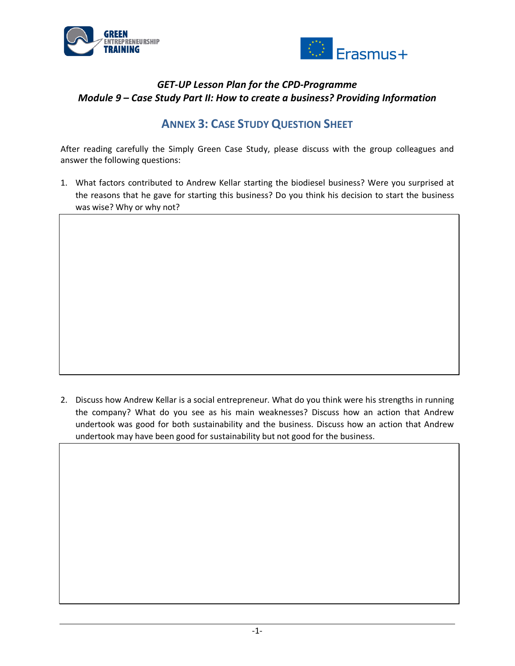



## *GET-UP Lesson Plan for the CPD-Programme Module 9 – Case Study Part II: How to create a business? Providing Information*

## **ANNEX 3: CASE STUDY QUESTION SHEET**

After reading carefully the Simply Green Case Study, please discuss with the group colleagues and answer the following questions:

1. What factors contributed to Andrew Kellar starting the biodiesel business? Were you surprised at the reasons that he gave for starting this business? Do you think his decision to start the business was wise? Why or why not?

2. Discuss how Andrew Kellar is a social entrepreneur. What do you think were his strengths in running the company? What do you see as his main weaknesses? Discuss how an action that Andrew undertook was good for both sustainability and the business. Discuss how an action that Andrew undertook may have been good for sustainability but not good for the business.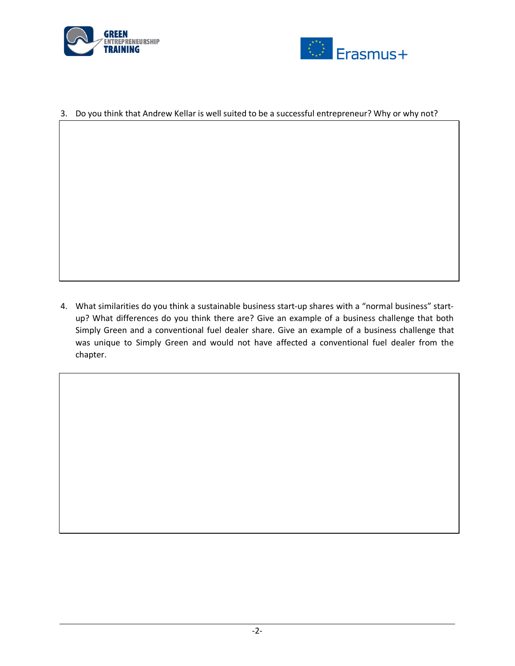



## 3. Do you think that Andrew Kellar is well suited to be a successful entrepreneur? Why or why not?

4. What similarities do you think a sustainable business start-up shares with a "normal business" startup? What differences do you think there are? Give an example of a business challenge that both Simply Green and a conventional fuel dealer share. Give an example of a business challenge that was unique to Simply Green and would not have affected a conventional fuel dealer from the chapter.